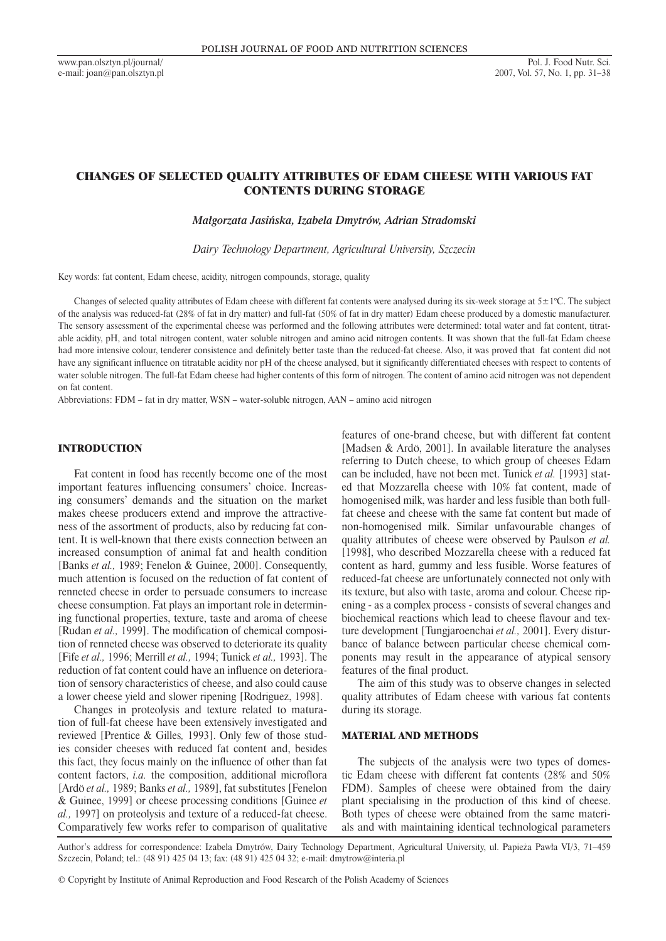# CHANGES OF SELECTED QUALITY ATTRIBUTES OF EDAM CHEESE WITH VARIOUS FAT CONTENTS DURING STORAGE

*Małgorzata Jasińska, Izabela Dmytrów, Adrian Stradomski*

*Dairy Technology Department, Agricultural University, Szczecin*

Key words: fat content, Edam cheese, acidity, nitrogen compounds, storage, quality

Changes of selected quality attributes of Edam cheese with different fat contents were analysed during its six-week storage at  $5\pm1^{\circ}$ C. The subject of the analysis was reduced-fat (28% of fat in dry matter) and full-fat (50% of fat in dry matter) Edam cheese produced by a domestic manufacturer. The sensory assessment of the experimental cheese was performed and the following attributes were determined: total water and fat content, titratable acidity, pH, and total nitrogen content, water soluble nitrogen and amino acid nitrogen contents. It was shown that the full-fat Edam cheese had more intensive colour, tenderer consistence and definitely better taste than the reduced-fat cheese. Also, it was proved that fat content did not have any significant influence on titratable acidity nor pH of the cheese analysed, but it significantly differentiated cheeses with respect to contents of water soluble nitrogen. The full-fat Edam cheese had higher contents of this form of nitrogen. The content of amino acid nitrogen was not dependent on fat content.

Abbreviations: FDM – fat in dry matter, WSN – water-soluble nitrogen, AAN – amino acid nitrogen

# INTRODUCTION

Fat content in food has recently become one of the most important features influencing consumers' choice. Increasing consumers' demands and the situation on the market makes cheese producers extend and improve the attractiveness of the assortment of products, also by reducing fat content. It is well-known that there exists connection between an increased consumption of animal fat and health condition [Banks *et al.,* 1989; Fenelon & Guinee, 2000]. Consequently, much attention is focused on the reduction of fat content of renneted cheese in order to persuade consumers to increase cheese consumption. Fat plays an important role in determining functional properties, texture, taste and aroma of cheese [Rudan *et al.,* 1999]. The modification of chemical composition of renneted cheese was observed to deteriorate its quality [Fife *et al.,* 1996; Merrill *et al.,* 1994; Tunick *et al.,* 1993]. The reduction of fat content could have an influence on deterioration of sensory characteristics of cheese, and also could cause a lower cheese yield and slower ripening [Rodriguez, 1998].

Changes in proteolysis and texture related to maturation of full-fat cheese have been extensively investigated and reviewed [Prentice & Gilles*,* 1993]. Only few of those studies consider cheeses with reduced fat content and, besides this fact, they focus mainly on the influence of other than fat content factors, *i.a.* the composition, additional microflora [Ardö *et al.,* 1989; Banks *et al.,* 1989], fat substitutes [Fenelon & Guinee, 1999] or cheese processing conditions [Guinee *et al.,* 1997] on proteolysis and texture of a reduced-fat cheese. Comparatively few works refer to comparison of qualitative features of one-brand cheese, but with different fat content [Madsen & Ardö, 2001]. In available literature the analyses referring to Dutch cheese, to which group of cheeses Edam can be included, have not been met. Tunick *et al.* [1993] stated that Mozzarella cheese with 10% fat content, made of homogenised milk, was harder and less fusible than both fullfat cheese and cheese with the same fat content but made of non-homogenised milk. Similar unfavourable changes of quality attributes of cheese were observed by Paulson *et al.*  [1998], who described Mozzarella cheese with a reduced fat content as hard, gummy and less fusible. Worse features of reduced-fat cheese are unfortunately connected not only with its texture, but also with taste, aroma and colour. Cheese ripening - as a complex process - consists of several changes and biochemical reactions which lead to cheese flavour and texture development [Tungjaroenchai *et al.,* 2001]. Every disturbance of balance between particular cheese chemical components may result in the appearance of atypical sensory features of the final product.

The aim of this study was to observe changes in selected quality attributes of Edam cheese with various fat contents during its storage.

## MATERIAL AND METHODS

The subjects of the analysis were two types of domestic Edam cheese with different fat contents (28% and 50% FDM). Samples of cheese were obtained from the dairy plant specialising in the production of this kind of cheese. Both types of cheese were obtained from the same materials and with maintaining identical technological parameters

Author's address for correspondence: Izabela Dmytrów, Dairy Technology Department, Agricultural University, ul. Papieża Pawła VI/3, 71–459 Szczecin, Poland; tel.: (48 91) 425 04 13; fax: (48 91) 425 04 32; e-mail: dmytrow@interia.pl

© Copyright by Institute of Animal Reproduction and Food Research of the Polish Academy of Sciences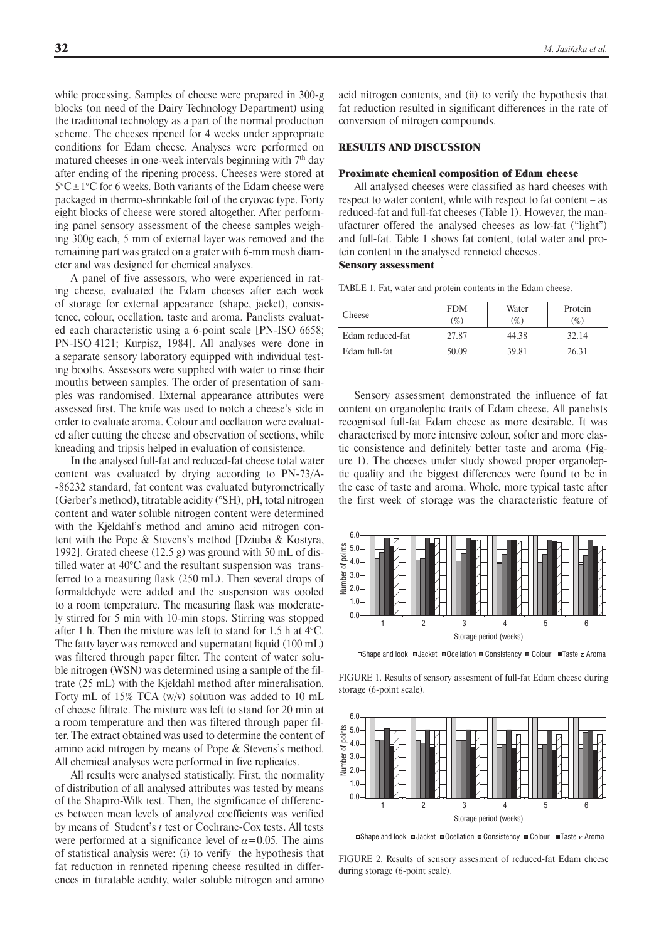while processing. Samples of cheese were prepared in 300-g blocks (on need of the Dairy Technology Department) using the traditional technology as a part of the normal production scheme. The cheeses ripened for 4 weeks under appropriate conditions for Edam cheese. Analyses were performed on matured cheeses in one-week intervals beginning with  $7<sup>th</sup>$  day after ending of the ripening process. Cheeses were stored at  $5^{\circ}$ C $\pm$ 1°C for 6 weeks. Both variants of the Edam cheese were packaged in thermo-shrinkable foil of the cryovac type. Forty eight blocks of cheese were stored altogether. After performing panel sensory assessment of the cheese samples weighing 300g each, 5 mm of external layer was removed and the remaining part was grated on a grater with 6-mm mesh diameter and was designed for chemical analyses.

A panel of five assessors, who were experienced in rating cheese, evaluated the Edam cheeses after each week of storage for external appearance (shape, jacket), consistence, colour, ocellation, taste and aroma. Panelists evaluated each characteristic using a 6-point scale [PN-ISO 6658; PN-ISO 4121; Kurpisz, 1984]. All analyses were done in a separate sensory laboratory equipped with individual testing booths. Assessors were supplied with water to rinse their mouths between samples. The order of presentation of samples was randomised. External appearance attributes were assessed first. The knife was used to notch a cheese's side in order to evaluate aroma. Colour and ocellation were evaluated after cutting the cheese and observation of sections, while kneading and tripsis helped in evaluation of consistence.

In the analysed full-fat and reduced-fat cheese total water content was evaluated by drying according to PN-73/A- -86232 standard, fat content was evaluated butyrometrically (Gerber's method), titratable acidity (°SH), pH, total nitrogen content and water soluble nitrogen content were determined with the Kjeldahl's method and amino acid nitrogen content with the Pope & Stevens's method [Dziuba & Kostyra, 1992]. Grated cheese (12.5 g) was ground with 50 mL of distilled water at 40°C and the resultant suspension was transferred to a measuring flask (250 mL). Then several drops of formaldehyde were added and the suspension was cooled to a room temperature. The measuring flask was moderately stirred for 5 min with 10-min stops. Stirring was stopped after 1 h. Then the mixture was left to stand for 1.5 h at 4°C. The fatty layer was removed and supernatant liquid (100 mL) was filtered through paper filter. The content of water soluble nitrogen (WSN) was determined using a sample of the filtrate (25 mL) with the Kjeldahl method after mineralisation. Forty mL of 15% TCA (w/v) solution was added to 10 mL of cheese filtrate. The mixture was left to stand for 20 min at a room temperature and then was filtered through paper filter. The extract obtained was used to determine the content of amino acid nitrogen by means of Pope & Stevens's method. All chemical analyses were performed in five replicates.

All results were analysed statistically. First, the normality of distribution of all analysed attributes was tested by means of the Shapiro-Wilk test. Then, the significance of differences between mean levels of analyzed coefficients was verified by means of Student's *t* test or Cochrane-Cox tests. All tests were performed at a significance level of  $\alpha$ =0.05. The aims of statistical analysis were: (i) to verify the hypothesis that fat reduction in renneted ripening cheese resulted in differences in titratable acidity, water soluble nitrogen and amino

acid nitrogen contents, and (ii) to verify the hypothesis that fat reduction resulted in significant differences in the rate of conversion of nitrogen compounds.

### RESULTS AND DISCUSSION

#### Proximate chemical composition of Edam cheese

All analysed cheeses were classified as hard cheeses with respect to water content, while with respect to fat content – as reduced-fat and full-fat cheeses (Table 1). However, the manufacturer offered the analysed cheeses as low-fat ("light") and full-fat. Table 1 shows fat content, total water and protein content in the analysed renneted cheeses. Sensory assessment

TABLE 1. Fat, water and protein contents in the Edam cheese.

| Cheese           | <b>FDM</b><br>$(\%)$ | Water<br>$(\%)$ | Protein<br>$(\%)$ |  |
|------------------|----------------------|-----------------|-------------------|--|
| Edam reduced-fat | 27.87                | 44.38           | 32.14             |  |
| Edam full-fat    | 50.09                | 39.81           | 26.31             |  |

Sensory assessment demonstrated the influence of fat content on organoleptic traits of Edam cheese. All panelists recognised full-fat Edam cheese as more desirable. It was characterised by more intensive colour, softer and more elastic consistence and definitely better taste and aroma (Figure 1). The cheeses under study showed proper organoleptic quality and the biggest differences were found to be in the case of taste and aroma. Whole, more typical taste after the first week of storage was the characteristic feature of



 $\Box$ Shape and look  $\Box$ Jacket  $\Box$ Ocellation  $\Box$ Consistency  $\Box$ Colour  $\Box$ Taste  $\Box$ Aroma

FIGURE 1. Results of sensory assesment of full-fat Edam cheese during storage (6-point scale).



□Shape and look □ Jacket □ Ocellation ■ Consistency ■ Colour ■ Taste □ Aroma

FIGURE 2. Results of sensory assesment of reduced-fat Edam cheese during storage (6-point scale).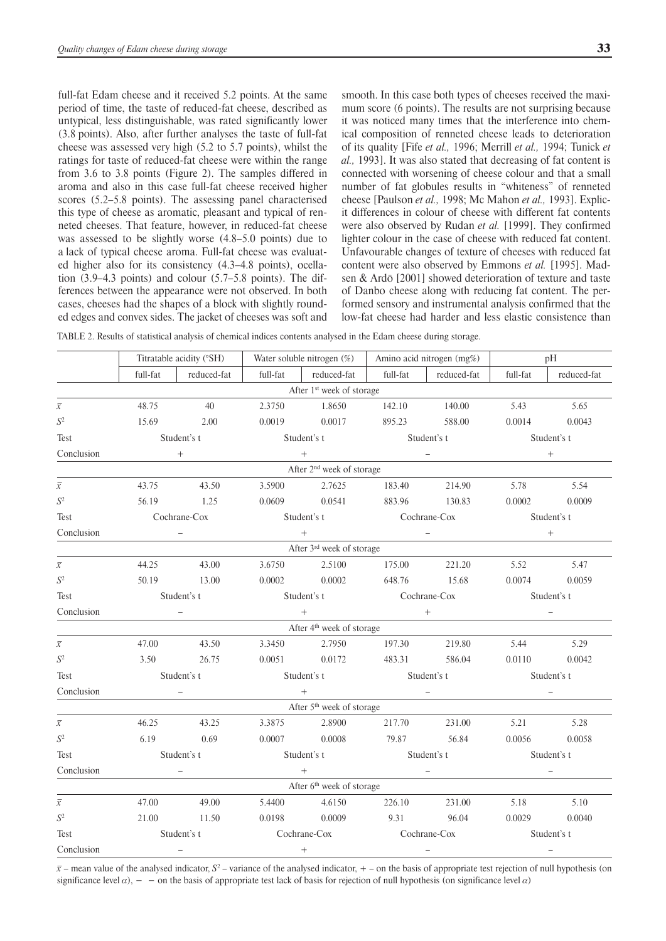full-fat Edam cheese and it received 5.2 points. At the same period of time, the taste of reduced-fat cheese, described as untypical, less distinguishable, was rated significantly lower (3.8 points). Also, after further analyses the taste of full-fat cheese was assessed very high (5.2 to 5.7 points), whilst the ratings for taste of reduced-fat cheese were within the range from 3.6 to 3.8 points (Figure 2). The samples differed in aroma and also in this case full-fat cheese received higher scores (5.2–5.8 points). The assessing panel characterised this type of cheese as aromatic, pleasant and typical of renneted cheeses. That feature, however, in reduced-fat cheese was assessed to be slightly worse (4.8–5.0 points) due to a lack of typical cheese aroma. Full-fat cheese was evaluated higher also for its consistency (4.3–4.8 points), ocellation (3.9–4.3 points) and colour (5.7–5.8 points). The differences between the appearance were not observed. In both cases, cheeses had the shapes of a block with slightly rounded edges and convex sides. The jacket of cheeses was soft and smooth. In this case both types of cheeses received the maximum score (6 points). The results are not surprising because it was noticed many times that the interference into chemical composition of renneted cheese leads to deterioration of its quality [Fife *et al.,* 1996; Merrill *et al.,* 1994; Tunick *et al.,* 1993]. It was also stated that decreasing of fat content is connected with worsening of cheese colour and that a small number of fat globules results in "whiteness" of renneted cheese [Paulson *et al.,* 1998; Mc Mahon *et al.,* 1993]. Explicit differences in colour of cheese with different fat contents were also observed by Rudan *et al.* [1999]. They confirmed lighter colour in the case of cheese with reduced fat content. Unfavourable changes of texture of cheeses with reduced fat content were also observed by Emmons *et al.* [1995]. Madsen & Ardö [2001] showed deterioration of texture and taste of Danbo cheese along with reducing fat content. The performed sensory and instrumental analysis confirmed that the low-fat cheese had harder and less elastic consistence than

TABLE 2. Results of statistical analysis of chemical indices contents analysed in the Edam cheese during storage.

|                                       | Titratable acidity (°SH) |             | Water soluble nitrogen $(\%)$ |                                       | Amino acid nitrogen (mg%)                                                                                                                                                                                                                                                                                                                                                                                                                                       |             | pH          |             |  |
|---------------------------------------|--------------------------|-------------|-------------------------------|---------------------------------------|-----------------------------------------------------------------------------------------------------------------------------------------------------------------------------------------------------------------------------------------------------------------------------------------------------------------------------------------------------------------------------------------------------------------------------------------------------------------|-------------|-------------|-------------|--|
|                                       | full-fat                 | reduced-fat | full-fat                      | reduced-fat                           | full-fat                                                                                                                                                                                                                                                                                                                                                                                                                                                        | reduced-fat | full-fat    | reduced-fat |  |
| After 1 <sup>st</sup> week of storage |                          |             |                               |                                       |                                                                                                                                                                                                                                                                                                                                                                                                                                                                 |             |             |             |  |
| $\overline{x}$                        | 48.75                    | 40          | 2.3750                        | 1.8650                                | 142.10                                                                                                                                                                                                                                                                                                                                                                                                                                                          | 140.00      | 5.43        | 5.65        |  |
| $S^2$                                 | 15.69                    | 2.00        | 0.0019                        | 0.0017                                | 895.23                                                                                                                                                                                                                                                                                                                                                                                                                                                          | 588.00      | 0.0014      | 0.0043      |  |
| Test                                  | Student's t              |             | Student's t                   |                                       | Student's t                                                                                                                                                                                                                                                                                                                                                                                                                                                     |             | Student's t |             |  |
| Conclusion                            | $+$                      |             | $+$                           |                                       | $\begin{tabular}{ll} \multicolumn{1}{c}{\textbf{1} } & \multicolumn{1}{c}{\textbf{2} }\\ \multicolumn{1}{c}{\textbf{2} } & \multicolumn{1}{c}{\textbf{3} }\\ \multicolumn{1}{c}{\textbf{4} } & \multicolumn{1}{c}{\textbf{5} }\\ \multicolumn{1}{c}{\textbf{5} } & \multicolumn{1}{c}{\textbf{6} }\\ \multicolumn{1}{c}{\textbf{6} } & \multicolumn{1}{c}{\textbf{7} }\\ \multicolumn{1}{c}{\textbf{8} } & \multicolumn{1}{c}{\textbf{9} }\\ \multicolumn{1}{c$ |             | $+$         |             |  |
| After 2 <sup>nd</sup> week of storage |                          |             |                               |                                       |                                                                                                                                                                                                                                                                                                                                                                                                                                                                 |             |             |             |  |
| $\overline{\chi}$                     | 43.75                    | 43.50       | 3.5900                        | 2.7625                                | 183.40                                                                                                                                                                                                                                                                                                                                                                                                                                                          | 214.90      | 5.78        | 5.54        |  |
| S <sup>2</sup>                        | 56.19                    | 1.25        | 0.0609                        | 0.0541                                | 883.96                                                                                                                                                                                                                                                                                                                                                                                                                                                          | 130.83      | 0.0002      | 0.0009      |  |
| Test                                  | Cochrane-Cox             |             | Student's t                   |                                       | Cochrane-Cox                                                                                                                                                                                                                                                                                                                                                                                                                                                    |             | Student's t |             |  |
| Conclusion                            |                          |             | $+$                           |                                       |                                                                                                                                                                                                                                                                                                                                                                                                                                                                 |             | $+$         |             |  |
|                                       |                          |             |                               | After 3 <sup>rd</sup> week of storage |                                                                                                                                                                                                                                                                                                                                                                                                                                                                 |             |             |             |  |
| $\overline{\chi}$                     | 44.25                    | 43.00       | 3.6750                        | 2.5100                                | 175.00                                                                                                                                                                                                                                                                                                                                                                                                                                                          | 221.20      | 5.52        | 5.47        |  |
| $S^2$                                 | 50.19                    | 13.00       | 0.0002                        | 0.0002                                | 648.76                                                                                                                                                                                                                                                                                                                                                                                                                                                          | 15.68       | 0.0074      | 0.0059      |  |
| Test                                  | Student's t              |             | Student's t                   |                                       | Cochrane-Cox                                                                                                                                                                                                                                                                                                                                                                                                                                                    |             | Student's t |             |  |
| Conclusion                            |                          |             | $^{+}$                        |                                       | $+$                                                                                                                                                                                                                                                                                                                                                                                                                                                             |             |             |             |  |
|                                       |                          |             |                               | After 4 <sup>th</sup> week of storage |                                                                                                                                                                                                                                                                                                                                                                                                                                                                 |             |             |             |  |
| $\overline{\chi}$                     | 47.00                    | 43.50       | 3.3450                        | 2.7950                                | 197.30                                                                                                                                                                                                                                                                                                                                                                                                                                                          | 219.80      | 5.44        | 5.29        |  |
| $\mathbb{S}^2$                        | 3.50                     | 26.75       | 0.0051                        | 0.0172                                | 483.31                                                                                                                                                                                                                                                                                                                                                                                                                                                          | 586.04      | 0.0110      | 0.0042      |  |
| Test                                  | Student's t              |             | Student's t                   |                                       | Student's t                                                                                                                                                                                                                                                                                                                                                                                                                                                     |             | Student's t |             |  |
| Conclusion                            |                          | $+$         |                               |                                       |                                                                                                                                                                                                                                                                                                                                                                                                                                                                 |             |             |             |  |
|                                       |                          |             |                               | After 5 <sup>th</sup> week of storage |                                                                                                                                                                                                                                                                                                                                                                                                                                                                 |             |             |             |  |
| $\overline{\mathcal{X}}$              | 46.25                    | 43.25       | 3.3875                        | 2.8900                                | 217.70                                                                                                                                                                                                                                                                                                                                                                                                                                                          | 231.00      | 5.21        | 5.28        |  |
| $S^2$                                 | 6.19                     | 0.69        | 0.0007                        | 0.0008                                | 79.87                                                                                                                                                                                                                                                                                                                                                                                                                                                           | 56.84       | 0.0056      | 0.0058      |  |
| Test                                  | Student's t              |             | Student's t                   |                                       | Student's t                                                                                                                                                                                                                                                                                                                                                                                                                                                     |             | Student's t |             |  |
| Conclusion                            |                          |             |                               | $+$                                   |                                                                                                                                                                                                                                                                                                                                                                                                                                                                 |             |             |             |  |
|                                       |                          |             |                               | After 6 <sup>th</sup> week of storage |                                                                                                                                                                                                                                                                                                                                                                                                                                                                 |             |             |             |  |
| $\overline{\chi}$                     | 47.00                    | 49.00       | 5.4400                        | 4.6150                                | 226.10                                                                                                                                                                                                                                                                                                                                                                                                                                                          | 231.00      | 5.18        | 5.10        |  |
| $S^2$                                 | 21.00                    | 11.50       | 0.0198                        | 0.0009                                | 9.31                                                                                                                                                                                                                                                                                                                                                                                                                                                            | 96.04       | 0.0029      | 0.0040      |  |
| <b>Test</b>                           | Student's t              |             | Cochrane-Cox                  |                                       | Cochrane-Cox                                                                                                                                                                                                                                                                                                                                                                                                                                                    |             | Student's t |             |  |
| Conclusion                            |                          |             |                               | $^{+}$                                |                                                                                                                                                                                                                                                                                                                                                                                                                                                                 |             |             |             |  |

 $\bar{x}$  – mean value of the analysed indicator,  $S^2$  – variance of the analysed indicator, + – on the basis of appropriate test rejection of null hypothesis (on significance level  $\alpha$ ), – – on the basis of appropriate test lack of basis for rejection of null hypothesis (on significance level  $\alpha$ )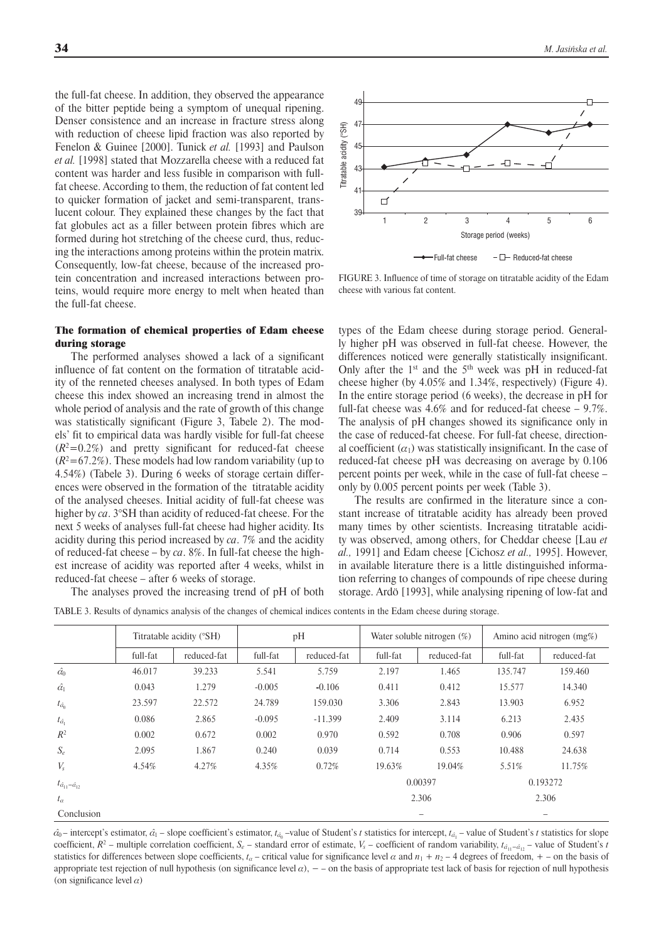the full-fat cheese. In addition, they observed the appearance of the bitter peptide being a symptom of unequal ripening. Denser consistence and an increase in fracture stress along with reduction of cheese lipid fraction was also reported by Fenelon & Guinee [2000]. Tunick *et al.* [1993] and Paulson *et al.* [1998] stated that Mozzarella cheese with a reduced fat content was harder and less fusible in comparison with fullfat cheese. According to them, the reduction of fat content led to quicker formation of jacket and semi-transparent, translucent colour. They explained these changes by the fact that fat globules act as a filler between protein fibres which are formed during hot stretching of the cheese curd, thus, reducing the interactions among proteins within the protein matrix. Consequently, low-fat cheese, because of the increased protein concentration and increased interactions between proteins, would require more energy to melt when heated than the full-fat cheese.

## The formation of chemical properties of Edam cheese during storage

The performed analyses showed a lack of a significant influence of fat content on the formation of titratable acidity of the renneted cheeses analysed. In both types of Edam cheese this index showed an increasing trend in almost the whole period of analysis and the rate of growth of this change was statistically significant (Figure 3, Tabele 2). The models' fit to empirical data was hardly visible for full-fat cheese  $(R<sup>2</sup>=0.2%)$  and pretty significant for reduced-fat cheese  $(R<sup>2</sup>=67.2%)$ . These models had low random variability (up to 4.54%) (Tabele 3). During 6 weeks of storage certain differences were observed in the formation of the titratable acidity of the analysed cheeses. Initial acidity of full-fat cheese was higher by *ca*. 3°SH than acidity of reduced-fat cheese. For the next 5 weeks of analyses full-fat cheese had higher acidity. Its acidity during this period increased by *ca*. 7% and the acidity of reduced-fat cheese – by *ca*. 8%. In full-fat cheese the highest increase of acidity was reported after 4 weeks, whilst in reduced-fat cheese – after 6 weeks of storage.

The analyses proved the increasing trend of pH of both



FIGURE 3. Influence of time of storage on titratable acidity of the Edam cheese with various fat content.

types of the Edam cheese during storage period. Generally higher pH was observed in full-fat cheese. However, the differences noticed were generally statistically insignificant. Only after the  $1<sup>st</sup>$  and the  $5<sup>th</sup>$  week was pH in reduced-fat cheese higher (by 4.05% and 1.34%, respectively) (Figure 4). In the entire storage period (6 weeks), the decrease in pH for full-fat cheese was 4.6% and for reduced-fat cheese – 9.7%. The analysis of pH changes showed its significance only in the case of reduced-fat cheese. For full-fat cheese, directional coefficient  $(\alpha_1)$  was statistically insignificant. In the case of reduced-fat cheese pH was decreasing on average by 0.106 percent points per week, while in the case of full-fat cheese – only by 0.005 percent points per week (Table 3).

The results are confirmed in the literature since a constant increase of titratable acidity has already been proved many times by other scientists. Increasing titratable acidity was observed, among others, for Cheddar cheese [Lau *et al.,* 1991] and Edam cheese [Cichosz *et al.,* 1995]. However, in available literature there is a little distinguished information referring to changes of compounds of ripe cheese during storage. Ardö [1993], while analysing ripening of low-fat and

TABLE 3. Results of dynamics analysis of the changes of chemical indices contents in the Edam cheese during storage.

|                                           | Titratable acidity (°SH) |             | pH       |             | Water soluble nitrogen $(\%)$ |             | Amino acid nitrogen (mg%) |             |
|-------------------------------------------|--------------------------|-------------|----------|-------------|-------------------------------|-------------|---------------------------|-------------|
|                                           | full-fat                 | reduced-fat | full-fat | reduced-fat | full-fat                      | reduced-fat | full-fat                  | reduced-fat |
| $\hat{\alpha_0}$                          | 46.017                   | 39.233      | 5.541    | 5.759       | 2.197                         | 1.465       | 135.747                   | 159.460     |
| $\hat{\alpha_1}$                          | 0.043                    | 1.279       | $-0.005$ | $-0.106$    | 0.411                         | 0.412       | 15.577                    | 14.340      |
| $t_{\hat{\alpha}_0}$                      | 23.597                   | 22.572      | 24.789   | 159.030     | 3.306                         | 2.843       | 13.903                    | 6.952       |
| $t_{\hat{\alpha_1}}$                      | 0.086                    | 2.865       | $-0.095$ | $-11.399$   | 2.409                         | 3.114       | 6.213                     | 2.435       |
| $R^2$                                     | 0.002                    | 0.672       | 0.002    | 0.970       | 0.592                         | 0.708       | 0.906                     | 0.597       |
| $S_e$                                     | 2.095                    | 1.867       | 0.240    | 0.039       | 0.714                         | 0.553       | 10.488                    | 24.638      |
| $V_{s}$                                   | 4.54%                    | 4.27%       | 4.35%    | 0.72%       | 19.63%                        | 19.04%      | 5.51%                     | 11.75%      |
| $t_{\hat{\alpha}_{11}-\hat{\alpha}_{12}}$ |                          |             |          |             | 0.00397                       |             | 0.193272                  |             |
| $t_{\alpha}$                              |                          |             |          |             | 2.306                         |             | 2.306                     |             |
| Conclusion                                |                          |             |          |             |                               |             | $\equiv$                  |             |

 $\hat{a}_0$  – intercept's estimator,  $\hat{a}_1$  – slope coefficient's estimator,  $t_{\hat{a}_0}$  –value of Student's *t* statistics for intercept,  $t_{\hat{a}_1}$  – value of Student's *t* statistics for slope coefficient,  $R^2$  – multiple correlation coefficient,  $S_e$  – standard error of estimate,  $V_s$  – coefficient of random variability,  $t_{\hat{a}_{11}-\hat{a}_{12}}$  – value of Student's *t* statistics for differences between slope coefficients,  $t_a$  – critical value for significance level  $\alpha$  and  $n_1 + n_2$  – 4 degrees of freedom, + – on the basis of appropriate test rejection of null hypothesis (on significance level  $\alpha$ ),  $-$  – on the basis of appropriate test lack of basis for rejection of null hypothesis (on significance level  $\alpha$ )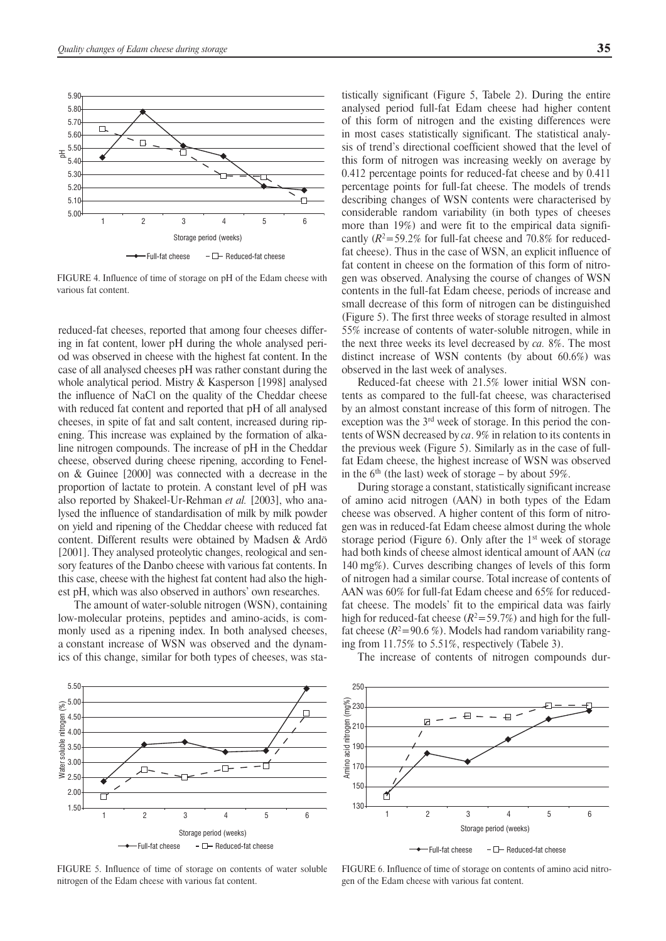

FIGURE 4. Influence of time of storage on pH of the Edam cheese with various fat content.

reduced-fat cheeses, reported that among four cheeses differing in fat content, lower pH during the whole analysed period was observed in cheese with the highest fat content. In the case of all analysed cheeses pH was rather constant during the whole analytical period. Mistry & Kasperson [1998] analysed the influence of NaCl on the quality of the Cheddar cheese with reduced fat content and reported that pH of all analysed cheeses, in spite of fat and salt content, increased during ripening. This increase was explained by the formation of alkaline nitrogen compounds. The increase of pH in the Cheddar cheese, observed during cheese ripening, according to Fenelon & Guinee [2000] was connected with a decrease in the proportion of lactate to protein. A constant level of pH was also reported by Shakeel-Ur-Rehman *et al.* [2003], who analysed the influence of standardisation of milk by milk powder on yield and ripening of the Cheddar cheese with reduced fat content. Different results were obtained by Madsen & Ardö [2001]. They analysed proteolytic changes, reological and sensory features of the Danbo cheese with various fat contents. In this case, cheese with the highest fat content had also the highest pH, which was also observed in authors' own researches.

The amount of water-soluble nitrogen (WSN), containing low-molecular proteins, peptides and amino-acids, is commonly used as a ripening index. In both analysed cheeses, a constant increase of WSN was observed and the dynamics of this change, similar for both types of cheeses, was statistically significant (Figure 5, Tabele 2). During the entire analysed period full-fat Edam cheese had higher content of this form of nitrogen and the existing differences were in most cases statistically significant. The statistical analysis of trend's directional coefficient showed that the level of this form of nitrogen was increasing weekly on average by 0.412 percentage points for reduced-fat cheese and by 0.411 percentage points for full-fat cheese. The models of trends describing changes of WSN contents were characterised by considerable random variability (in both types of cheeses more than 19%) and were fit to the empirical data significantly  $(R^2 = 59.2\%$  for full-fat cheese and 70.8% for reducedfat cheese). Thus in the case of WSN, an explicit influence of fat content in cheese on the formation of this form of nitrogen was observed. Analysing the course of changes of WSN contents in the full-fat Edam cheese, periods of increase and small decrease of this form of nitrogen can be distinguished (Figure 5). The first three weeks of storage resulted in almost 55% increase of contents of water-soluble nitrogen, while in the next three weeks its level decreased by *ca.* 8%. The most distinct increase of WSN contents (by about 60.6%) was observed in the last week of analyses.

Reduced-fat cheese with 21.5% lower initial WSN contents as compared to the full-fat cheese, was characterised by an almost constant increase of this form of nitrogen. The exception was the 3rd week of storage. In this period the contents of WSN decreased by *ca*. 9% in relation to its contents in the previous week (Figure 5). Similarly as in the case of fullfat Edam cheese, the highest increase of WSN was observed in the  $6<sup>th</sup>$  (the last) week of storage – by about 59%.

During storage a constant, statistically significant increase of amino acid nitrogen (AAN) in both types of the Edam cheese was observed. A higher content of this form of nitrogen was in reduced-fat Edam cheese almost during the whole storage period (Figure 6). Only after the  $1<sup>st</sup>$  week of storage had both kinds of cheese almost identical amount of AAN (*ca*  140 mg%). Curves describing changes of levels of this form of nitrogen had a similar course. Total increase of contents of AAN was 60% for full-fat Edam cheese and 65% for reducedfat cheese. The models' fit to the empirical data was fairly high for reduced-fat cheese  $(R^2 = 59.7%)$  and high for the fullfat cheese  $(R^2=90.6\%)$ . Models had random variability ranging from 11.75% to 5.51%, respectively (Tabele 3).



FIGURE 5. Influence of time of storage on contents of water soluble nitrogen of the Edam cheese with various fat content.

The increase of contents of nitrogen compounds dur-



FIGURE 6. Influence of time of storage on contents of amino acid nitrogen of the Edam cheese with various fat content.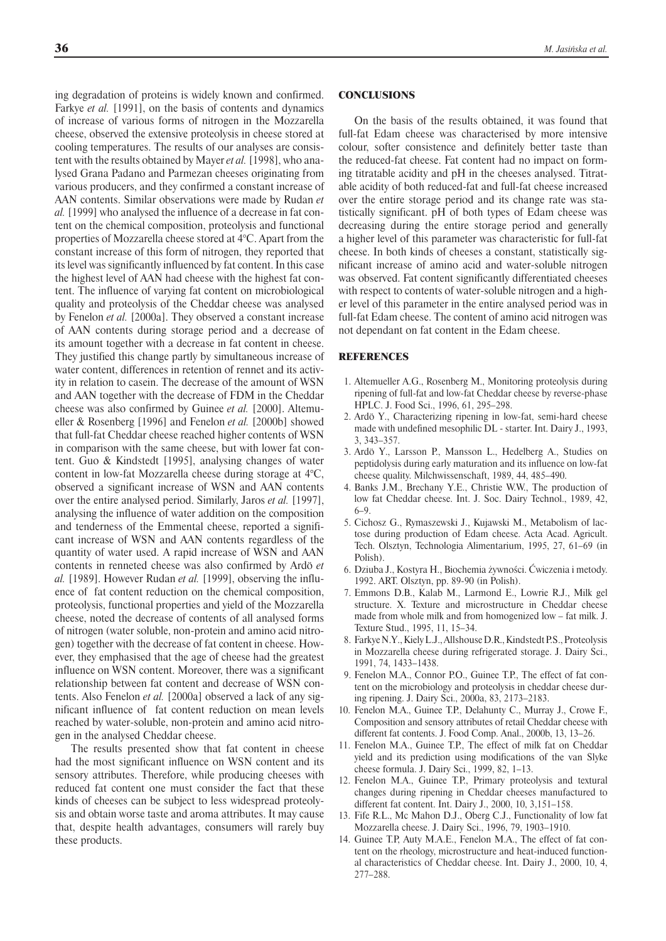ing degradation of proteins is widely known and confirmed. Farkye *et al.* [1991], on the basis of contents and dynamics of increase of various forms of nitrogen in the Mozzarella cheese, observed the extensive proteolysis in cheese stored at cooling temperatures. The results of our analyses are consistent with the results obtained by Mayer *et al.* [1998], who analysed Grana Padano and Parmezan cheeses originating from various producers, and they confirmed a constant increase of AAN contents. Similar observations were made by Rudan *et al.* [1999] who analysed the influence of a decrease in fat content on the chemical composition, proteolysis and functional properties of Mozzarella cheese stored at 4°C. Apart from the constant increase of this form of nitrogen, they reported that its level was significantly influenced by fat content. In this case the highest level of AAN had cheese with the highest fat content. The influence of varying fat content on microbiological quality and proteolysis of the Cheddar cheese was analysed by Fenelon *et al.* [2000a]. They observed a constant increase of AAN contents during storage period and a decrease of its amount together with a decrease in fat content in cheese. They justified this change partly by simultaneous increase of water content, differences in retention of rennet and its activity in relation to casein. The decrease of the amount of WSN and AAN together with the decrease of FDM in the Cheddar cheese was also confirmed by Guinee *et al.* [2000]. Altemueller & Rosenberg [1996] and Fenelon *et al.* [2000b] showed that full-fat Cheddar cheese reached higher contents of WSN in comparison with the same cheese, but with lower fat content. Guo & Kindstedt [1995], analysing changes of water content in low-fat Mozzarella cheese during storage at 4°C, observed a significant increase of WSN and AAN contents over the entire analysed period. Similarly, Jaros *et al.* [1997], analysing the influence of water addition on the composition and tenderness of the Emmental cheese, reported a significant increase of WSN and AAN contents regardless of the quantity of water used. A rapid increase of WSN and AAN contents in renneted cheese was also confirmed by Ardö *et al.* [1989]. However Rudan *et al.* [1999], observing the influence of fat content reduction on the chemical composition, proteolysis, functional properties and yield of the Mozzarella cheese, noted the decrease of contents of all analysed forms of nitrogen (water soluble, non-protein and amino acid nitrogen) together with the decrease of fat content in cheese. However, they emphasised that the age of cheese had the greatest influence on WSN content. Moreover, there was a significant relationship between fat content and decrease of WSN contents. Also Fenelon *et al.* [2000a] observed a lack of any significant influence of fat content reduction on mean levels reached by water-soluble, non-protein and amino acid nitrogen in the analysed Cheddar cheese.

The results presented show that fat content in cheese had the most significant influence on WSN content and its sensory attributes. Therefore, while producing cheeses with reduced fat content one must consider the fact that these kinds of cheeses can be subject to less widespread proteolysis and obtain worse taste and aroma attributes. It may cause that, despite health advantages, consumers will rarely buy these products.

# **CONCLUSIONS**

On the basis of the results obtained, it was found that full-fat Edam cheese was characterised by more intensive colour, softer consistence and definitely better taste than the reduced-fat cheese. Fat content had no impact on forming titratable acidity and pH in the cheeses analysed. Titratable acidity of both reduced-fat and full-fat cheese increased over the entire storage period and its change rate was statistically significant. pH of both types of Edam cheese was decreasing during the entire storage period and generally a higher level of this parameter was characteristic for full-fat cheese. In both kinds of cheeses a constant, statistically significant increase of amino acid and water-soluble nitrogen was observed. Fat content significantly differentiated cheeses with respect to contents of water-soluble nitrogen and a higher level of this parameter in the entire analysed period was in full-fat Edam cheese. The content of amino acid nitrogen was not dependant on fat content in the Edam cheese.

#### REFERENCES

- 1. Altemueller A.G., Rosenberg M., Monitoring proteolysis during ripening of full-fat and low-fat Cheddar cheese by reverse-phase HPLC. J. Food Sci., 1996, 61, 295–298.
- 2. Ardö Y., Characterizing ripening in low-fat, semi-hard cheese made with undefined mesophilic DL - starter. Int. Dairy J., 1993, 3, 343–357.
- 3. Ardö Y., Larsson P., Mansson L., Hedelberg A., Studies on peptidolysis during early maturation and its influence on low-fat cheese quality. Milchwissenschaft, 1989, 44, 485–490.
- 4. Banks J.M., Brechany Y.E., Christie W.W., The production of low fat Cheddar cheese. Int. J. Soc. Dairy Technol., 1989, 42, 6–9.
- 5. Cichosz G., Rymaszewski J., Kujawski M., Metabolism of lactose during production of Edam cheese. Acta Acad. Agricult. Tech. Olsztyn, Technologia Alimentarium, 1995, 27, 61–69 (in Polish).
- 6. Dziuba J., Kostyra H., Biochemia żywności. Ćwiczenia i metody. 1992. ART. Olsztyn, pp. 89-90 (in Polish).
- 7. Emmons D.B., Kalab M., Larmond E., Lowrie R.J., Milk gel structure. X. Texture and microstructure in Cheddar cheese made from whole milk and from homogenized low – fat milk. J. Texture Stud., 1995, 11, 15–34.
- 8. Farkye N.Y., Kiely L.J., Allshouse D.R., Kindstedt P.S., Proteolysis in Mozzarella cheese during refrigerated storage. J. Dairy Sci., 1991, 74, 1433–1438.
- 9. Fenelon M.A., Connor P.O., Guinee T.P., The effect of fat content on the microbiology and proteolysis in cheddar cheese during ripening. J. Dairy Sci., 2000a, 83, 2173–2183.
- 10. Fenelon M.A., Guinee T.P., Delahunty C., Murray J., Crowe F., Composition and sensory attributes of retail Cheddar cheese with different fat contents. J. Food Comp. Anal., 2000b, 13, 13–26.
- 11. Fenelon M.A., Guinee T.P., The effect of milk fat on Cheddar yield and its prediction using modifications of the van Slyke cheese formula. J. Dairy Sci., 1999, 82, 1–13.
- 12. Fenelon M.A., Guinee T.P., Primary proteolysis and textural changes during ripening in Cheddar cheeses manufactured to different fat content. Int. Dairy J., 2000, 10, 3,151–158.
- 13. Fife R.L., Mc Mahon D.J., Oberg C.J., Functionality of low fat Mozzarella cheese. J. Dairy Sci., 1996, 79, 1903–1910.
- 14. Guinee T.P, Auty M.A.E., Fenelon M.A., The effect of fat content on the rheology, microstructure and heat-induced functional characteristics of Cheddar cheese. Int. Dairy J., 2000, 10, 4, 277–288.